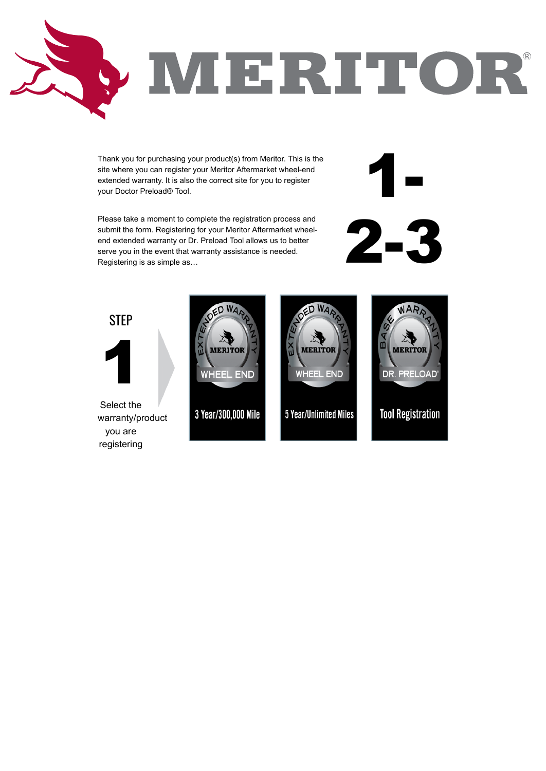

Thank you for purchasing your product(s) from Meritor. This is the site where you can register your Meritor Aftermarket wheel-end extended warranty. It is also the correct site for you to register your Doctor Preload® Tool.

Please take a moment to complete the registration process and submit the form. Registering for your Meritor Aftermarket wheelend extended warranty or Dr. Preload Tool allows us to better serve you in the event that warranty assistance is needed. Registering is as simple as…



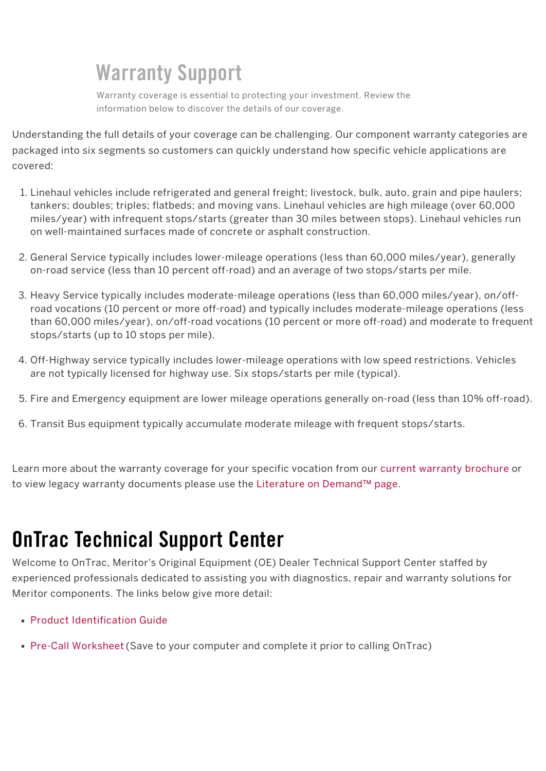Understanding the full details of your coverage can be challenging. Our component warranty categories are packaged into six segments so customers can quickly understand how specific vehicle applications are covered:

- 1. Linehaul vehicles include refrigerated and general freight; livestock, bulk, auto, grain and pipe haulers; tankers; doubles; triples; flatbeds; and moving vans. Linehaul vehicles are high mileage (over 60,000 miles/year) with infrequent stops/starts (greater than 30 miles between stops). Linehaul vehicles run on well-maintained surfaces made of concrete or asphalt construction.
- 2. General Service typically includes lower-mileage operations (less than 60,000 miles/year), generally on-road service (less than 10 percent off-road) and an average of two stops/starts per mile.
- 3. Heavy Service typically includes moderate-mileage operations (less than 60,000 miles/year), on/offroad vocations (10 percent or more off-road) and typically includes moderate-mileage operations (less than 60,000 miles/year), on/off-road vocations (10 percent or more off-road) and moderate to frequent stops/starts (up to 10 stops per mile).
- 4. Off-Highway service typically includes lower-mileage operations with low speed restrictions. Vehicles are not typically licensed for highway use. Six stops/starts per mile (typical).
- 5. Fire and Emergency equipment are lower mileage operations generally on-road (less than 10% off-road).
- 6. Transit Bus equipment typically accumulate moderate mileage with frequent stops/starts.

Learn more about the warranty coverage for your specific vocation from our current warranty brochure or to view legacy warranty documents please use the Literature on Demand™ page.

# OnTrac Technical Support Center

Welcome to OnTrac, Meritor's Original Equipment (OE) Dealer Technical Support Center staffed by experienced professionals dedicated to assisting you with diagnostics, repair and warranty solutions for

Meritor components. The links below give more detail:

- Product Identification Guide
- Pre-Call Worksheet (Save to your computer and complete it prior to calling OnTrac)

## Warranty Support

Warranty coverage is essential to protecting your investment. Review the information below to discover the details of our coverage.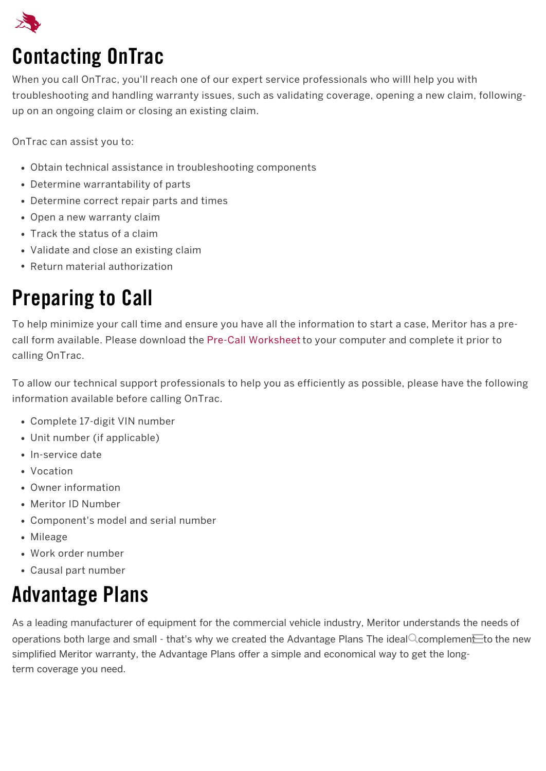

# Contacting OnTrac

When you call OnTrac, you'll reach one of our expert service professionals who willl help you with troubleshooting and handling warranty issues, such as validating coverage, opening a new claim, followingup on an ongoing claim or closing an existing claim.

OnTrac can assist you to:

- Obtain technical assistance in troubleshooting components
- Determine warrantability of parts
- Determine correct repair parts and times
- Open a new warranty claim
- Track the status of a claim
- Validate and close an existing claim
- Return material authorization

### Preparing to Call

To help minimize your call time and ensure you have all the information to start a case, Meritor has a precall form available. Please download the Pre-Call Worksheet to your computer and complete it prior to calling OnTrac.

To allow our technical support professionals to help you as efficiently as possible, please have the following information available before calling OnTrac.

- Complete 17-digit VIN number
- Unit number (if applicable)
- In-service date
- Vocation
- Owner information
- Meritor ID Number
- Component's model and serial number
- Mileage
- Work order number
- Causal part number

#### Advantage Plans

term coverage you need. As a leading manufacturer of equipment for the commercial vehicle industry, Meritor understands the needs of operations both large and small - that's why we created the Advantage Plans The ideal Ccomplemen $\equiv$ to the new simplified Meritor warranty, the Advantage Plans offer a simple and economical way to get the long-